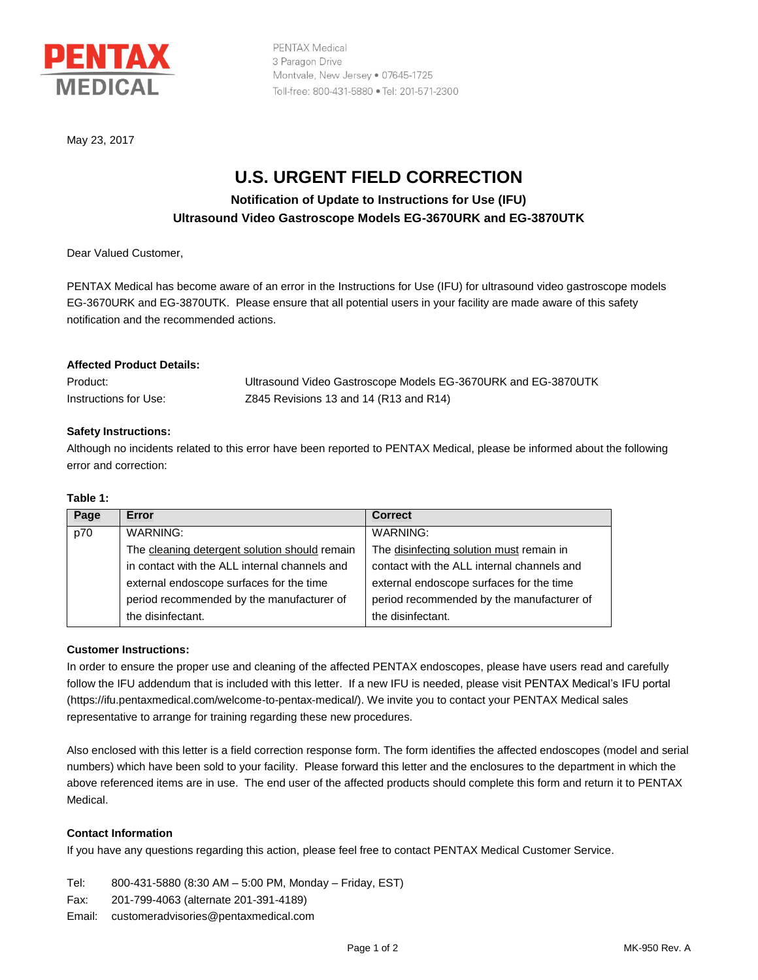

**PENTAX Medical** 3 Paragon Drive Montvale, New Jersey . 07645-1725 Toll-free: 800-431-5880 . Tel: 201-571-2300

May 23, 2017

# **U.S. URGENT FIELD CORRECTION**

# **Notification of Update to Instructions for Use (IFU) Ultrasound Video Gastroscope Models EG-3670URK and EG-3870UTK**

Dear Valued Customer,

PENTAX Medical has become aware of an error in the Instructions for Use (IFU) for ultrasound video gastroscope models EG-3670URK and EG-3870UTK. Please ensure that all potential users in your facility are made aware of this safety notification and the recommended actions.

### **Affected Product Details:**

Product: Ultrasound Video Gastroscope Models EG-3670URK and EG-3870UTK Instructions for Use: Z845 Revisions 13 and 14 (R13 and R14)

### **Safety Instructions:**

Although no incidents related to this error have been reported to PENTAX Medical, please be informed about the following error and correction:

#### **Table 1:**

| Page | Error                                         | <b>Correct</b>                             |
|------|-----------------------------------------------|--------------------------------------------|
| p70  | WARNING:                                      | <b>WARNING:</b>                            |
|      | The cleaning detergent solution should remain | The disinfecting solution must remain in   |
|      | in contact with the ALL internal channels and | contact with the ALL internal channels and |
|      | external endoscope surfaces for the time      | external endoscope surfaces for the time   |
|      | period recommended by the manufacturer of     | period recommended by the manufacturer of  |
|      | the disinfectant.                             | the disinfectant.                          |

#### **Customer Instructions:**

In order to ensure the proper use and cleaning of the affected PENTAX endoscopes, please have users read and carefully follow the IFU addendum that is included with this letter. If a new IFU is needed, please visit PENTAX Medical's IFU portal [\(https://ifu.pentaxmedical.com/welcome-to-pentax-medical/\)](https://ifu.pentaxmedical.com/welcome-to-pentax-medical/). We invite you to contact your PENTAX Medical sales representative to arrange for training regarding these new procedures.

Also enclosed with this letter is a field correction response form. The form identifies the affected endoscopes (model and serial numbers) which have been sold to your facility. Please forward this letter and the enclosures to the department in which the above referenced items are in use. The end user of the affected products should complete this form and return it to PENTAX Medical.

## **Contact Information**

If you have any questions regarding this action, please feel free to contact PENTAX Medical Customer Service.

Tel: 800-431-5880 (8:30 AM – 5:00 PM, Monday – Friday, EST)

Fax: 201-799-4063 (alternate 201-391-4189)

Email: customeradvisories@pentaxmedical.com